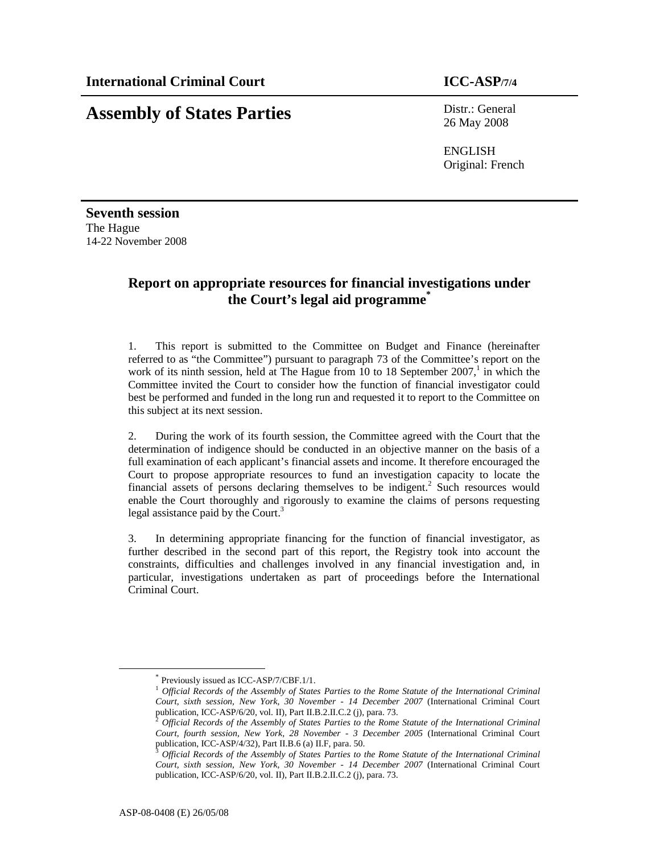# **Assembly of States Parties** Distr.: General

26 May 2008

ENGLISH Original: French

**Seventh session**  The Hague 14-22 November 2008

# **Report on appropriate resources for financial investigations under the Court's legal aid programme\***

1. This report is submitted to the Committee on Budget and Finance (hereinafter referred to as "the Committee") pursuant to paragraph 73 of the Committee's report on the work of its ninth session, held at The Hague from 10 to 18 September  $2007$ ,<sup>1</sup> in which the Committee invited the Court to consider how the function of financial investigator could best be performed and funded in the long run and requested it to report to the Committee on this subject at its next session.

2. During the work of its fourth session, the Committee agreed with the Court that the determination of indigence should be conducted in an objective manner on the basis of a full examination of each applicant's financial assets and income. It therefore encouraged the Court to propose appropriate resources to fund an investigation capacity to locate the financial assets of persons declaring themselves to be indigent.<sup>2</sup> Such resources would enable the Court thoroughly and rigorously to examine the claims of persons requesting legal assistance paid by the Court.<sup>3</sup>

3. In determining appropriate financing for the function of financial investigator, as further described in the second part of this report, the Registry took into account the constraints, difficulties and challenges involved in any financial investigation and, in particular, investigations undertaken as part of proceedings before the International Criminal Court.

-

<sup>\*</sup> Previously issued as ICC-ASP/7/CBF.1/1.

<sup>1</sup> *Official Records of the Assembly of States Parties to the Rome Statute of the International Criminal Court, sixth session, New York, 30 November - 14 December 2007* (International Criminal Court publication, ICC-ASP/6/20, vol. II), Part II.B.2.II.C.2 (j), para. 73.

<sup>2</sup> *Official Records of the Assembly of States Parties to the Rome Statute of the International Criminal Court, fourth session, New York, 28 November - 3 December 2005* (International Criminal Court publication, ICC-ASP/4/32), Part II.B.6 (a) II.F, para. 50.

<sup>3</sup> *Official Records of the Assembly of States Parties to the Rome Statute of the International Criminal Court, sixth session, New York, 30 November - 14 December 2007* (International Criminal Court publication, ICC-ASP/6/20, vol. II), Part II.B.2.II.C.2 (j), para. 73.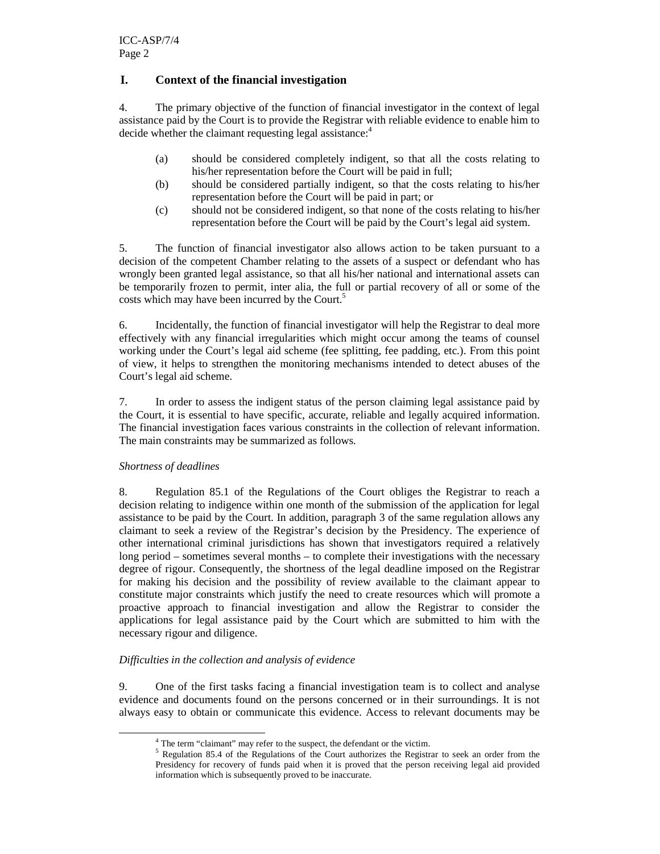# **I. Context of the financial investigation**

4. The primary objective of the function of financial investigator in the context of legal assistance paid by the Court is to provide the Registrar with reliable evidence to enable him to decide whether the claimant requesting legal assistance:<sup>4</sup>

- (a) should be considered completely indigent, so that all the costs relating to his/her representation before the Court will be paid in full;
- (b) should be considered partially indigent, so that the costs relating to his/her representation before the Court will be paid in part; or
- (c) should not be considered indigent, so that none of the costs relating to his/her representation before the Court will be paid by the Court's legal aid system.

5. The function of financial investigator also allows action to be taken pursuant to a decision of the competent Chamber relating to the assets of a suspect or defendant who has wrongly been granted legal assistance, so that all his/her national and international assets can be temporarily frozen to permit, inter alia, the full or partial recovery of all or some of the costs which may have been incurred by the Court.<sup>5</sup>

6. Incidentally, the function of financial investigator will help the Registrar to deal more effectively with any financial irregularities which might occur among the teams of counsel working under the Court's legal aid scheme (fee splitting, fee padding, etc.). From this point of view, it helps to strengthen the monitoring mechanisms intended to detect abuses of the Court's legal aid scheme.

7. In order to assess the indigent status of the person claiming legal assistance paid by the Court, it is essential to have specific, accurate, reliable and legally acquired information. The financial investigation faces various constraints in the collection of relevant information. The main constraints may be summarized as follows.

#### *Shortness of deadlines*

-

8. Regulation 85.1 of the Regulations of the Court obliges the Registrar to reach a decision relating to indigence within one month of the submission of the application for legal assistance to be paid by the Court. In addition, paragraph 3 of the same regulation allows any claimant to seek a review of the Registrar's decision by the Presidency. The experience of other international criminal jurisdictions has shown that investigators required a relatively long period – sometimes several months – to complete their investigations with the necessary degree of rigour. Consequently, the shortness of the legal deadline imposed on the Registrar for making his decision and the possibility of review available to the claimant appear to constitute major constraints which justify the need to create resources which will promote a proactive approach to financial investigation and allow the Registrar to consider the applications for legal assistance paid by the Court which are submitted to him with the necessary rigour and diligence.

### *Difficulties in the collection and analysis of evidence*

9. One of the first tasks facing a financial investigation team is to collect and analyse evidence and documents found on the persons concerned or in their surroundings. It is not always easy to obtain or communicate this evidence. Access to relevant documents may be

<sup>&</sup>lt;sup>4</sup> The term "claimant" may refer to the suspect, the defendant or the victim.

<sup>&</sup>lt;sup>5</sup> Regulation 85.4 of the Regulations of the Court authorizes the Registrar to seek an order from the Presidency for recovery of funds paid when it is proved that the person receiving legal aid provided information which is subsequently proved to be inaccurate.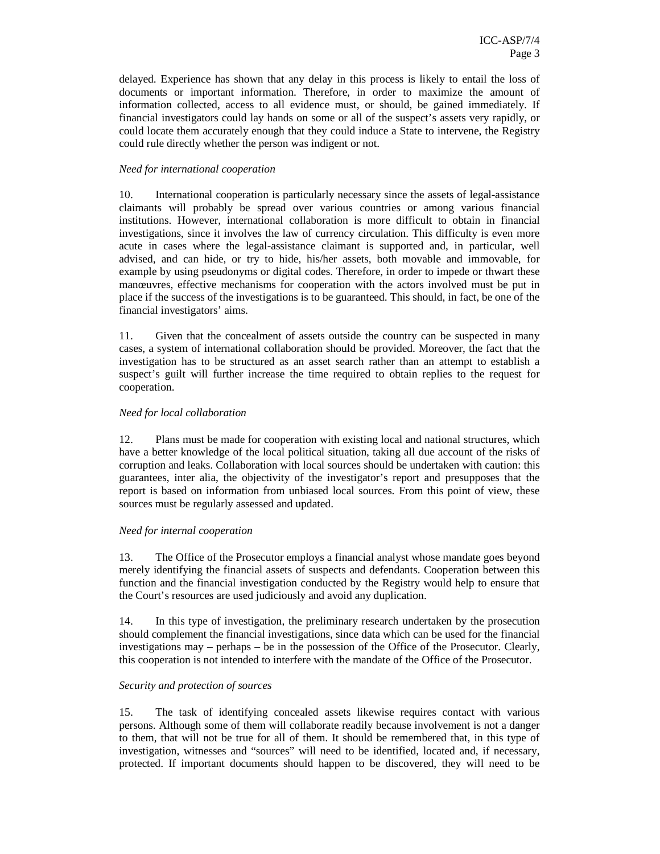delayed. Experience has shown that any delay in this process is likely to entail the loss of documents or important information. Therefore, in order to maximize the amount of information collected, access to all evidence must, or should, be gained immediately. If financial investigators could lay hands on some or all of the suspect's assets very rapidly, or could locate them accurately enough that they could induce a State to intervene, the Registry could rule directly whether the person was indigent or not.

#### *Need for international cooperation*

10. International cooperation is particularly necessary since the assets of legal-assistance claimants will probably be spread over various countries or among various financial institutions. However, international collaboration is more difficult to obtain in financial investigations, since it involves the law of currency circulation. This difficulty is even more acute in cases where the legal-assistance claimant is supported and, in particular, well advised, and can hide, or try to hide, his/her assets, both movable and immovable, for example by using pseudonyms or digital codes. Therefore, in order to impede or thwart these manœuvres, effective mechanisms for cooperation with the actors involved must be put in place if the success of the investigations is to be guaranteed. This should, in fact, be one of the financial investigators' aims.

11. Given that the concealment of assets outside the country can be suspected in many cases, a system of international collaboration should be provided. Moreover, the fact that the investigation has to be structured as an asset search rather than an attempt to establish a suspect's guilt will further increase the time required to obtain replies to the request for cooperation.

#### *Need for local collaboration*

12. Plans must be made for cooperation with existing local and national structures, which have a better knowledge of the local political situation, taking all due account of the risks of corruption and leaks. Collaboration with local sources should be undertaken with caution: this guarantees, inter alia, the objectivity of the investigator's report and presupposes that the report is based on information from unbiased local sources. From this point of view, these sources must be regularly assessed and updated.

#### *Need for internal cooperation*

13. The Office of the Prosecutor employs a financial analyst whose mandate goes beyond merely identifying the financial assets of suspects and defendants. Cooperation between this function and the financial investigation conducted by the Registry would help to ensure that the Court's resources are used judiciously and avoid any duplication.

14. In this type of investigation, the preliminary research undertaken by the prosecution should complement the financial investigations, since data which can be used for the financial investigations may – perhaps – be in the possession of the Office of the Prosecutor. Clearly, this cooperation is not intended to interfere with the mandate of the Office of the Prosecutor.

#### *Security and protection of sources*

15. The task of identifying concealed assets likewise requires contact with various persons. Although some of them will collaborate readily because involvement is not a danger to them, that will not be true for all of them. It should be remembered that, in this type of investigation, witnesses and "sources" will need to be identified, located and, if necessary, protected. If important documents should happen to be discovered, they will need to be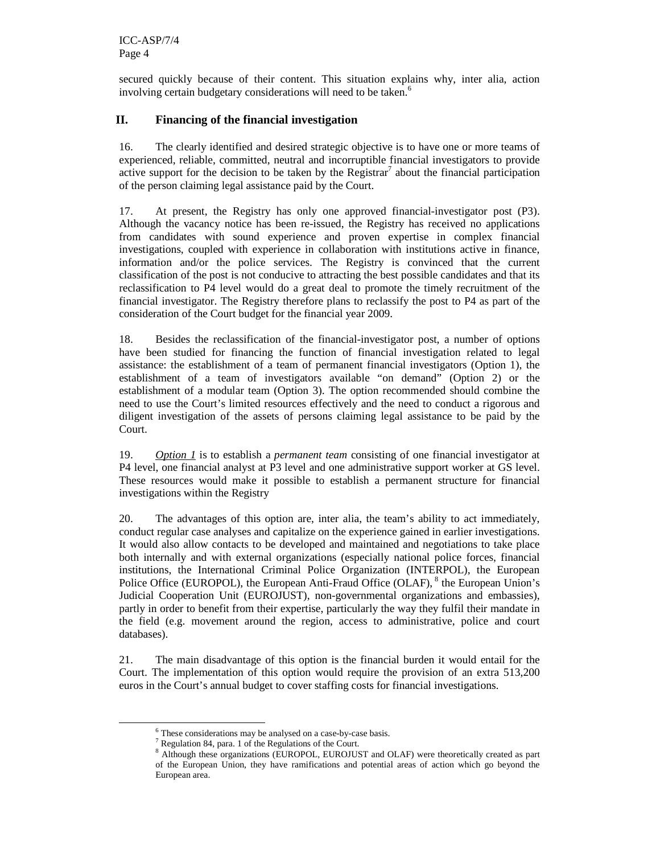secured quickly because of their content. This situation explains why, inter alia, action involving certain budgetary considerations will need to be taken.<sup>6</sup>

## **II. Financing of the financial investigation**

16. The clearly identified and desired strategic objective is to have one or more teams of experienced, reliable, committed, neutral and incorruptible financial investigators to provide active support for the decision to be taken by the Registrar<sup>7</sup> about the financial participation of the person claiming legal assistance paid by the Court.

17. At present, the Registry has only one approved financial-investigator post (P3). Although the vacancy notice has been re-issued, the Registry has received no applications from candidates with sound experience and proven expertise in complex financial investigations, coupled with experience in collaboration with institutions active in finance, information and/or the police services. The Registry is convinced that the current classification of the post is not conducive to attracting the best possible candidates and that its reclassification to P4 level would do a great deal to promote the timely recruitment of the financial investigator. The Registry therefore plans to reclassify the post to P4 as part of the consideration of the Court budget for the financial year 2009.

18. Besides the reclassification of the financial-investigator post, a number of options have been studied for financing the function of financial investigation related to legal assistance: the establishment of a team of permanent financial investigators (Option 1), the establishment of a team of investigators available "on demand" (Option 2) or the establishment of a modular team (Option 3). The option recommended should combine the need to use the Court's limited resources effectively and the need to conduct a rigorous and diligent investigation of the assets of persons claiming legal assistance to be paid by the Court.

19. *Option 1* is to establish a *permanent team* consisting of one financial investigator at P4 level, one financial analyst at P3 level and one administrative support worker at GS level. These resources would make it possible to establish a permanent structure for financial investigations within the Registry

20. The advantages of this option are, inter alia, the team's ability to act immediately, conduct regular case analyses and capitalize on the experience gained in earlier investigations. It would also allow contacts to be developed and maintained and negotiations to take place both internally and with external organizations (especially national police forces, financial institutions, the International Criminal Police Organization (INTERPOL), the European Police Office (EUROPOL), the European Anti-Fraud Office (OLAF), <sup>8</sup> the European Union's Judicial Cooperation Unit (EUROJUST), non-governmental organizations and embassies), partly in order to benefit from their expertise, particularly the way they fulfil their mandate in the field (e.g. movement around the region, access to administrative, police and court databases).

21. The main disadvantage of this option is the financial burden it would entail for the Court. The implementation of this option would require the provision of an extra 513,200 euros in the Court's annual budget to cover staffing costs for financial investigations.

-

<sup>6</sup> These considerations may be analysed on a case-by-case basis.

<sup>7</sup> Regulation 84, para. 1 of the Regulations of the Court.

<sup>&</sup>lt;sup>8</sup> Although these organizations (EUROPOL, EUROJUST and OLAF) were theoretically created as part of the European Union, they have ramifications and potential areas of action which go beyond the European area.